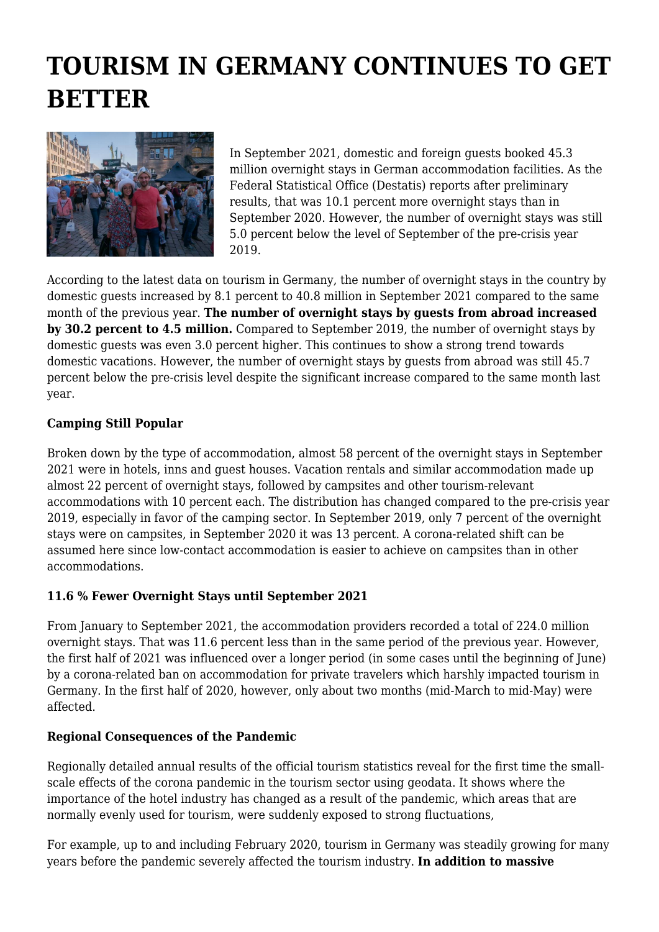# **TOURISM IN GERMANY CONTINUES TO GET BETTER**



In September 2021, domestic and foreign guests booked 45.3 million overnight stays in German accommodation facilities. As the Federal Statistical Office (Destatis) reports after preliminary results, that was 10.1 percent more overnight stays than in September 2020. However, the number of overnight stays was still 5.0 percent below the level of September of the pre-crisis year 2019.

According to the latest data on tourism in Germany, the number of overnight stays in the country by domestic guests increased by 8.1 percent to 40.8 million in September 2021 compared to the same month of the previous year. **The number of overnight stays by guests from abroad increased by 30.2 percent to 4.5 million.** Compared to September 2019, the number of overnight stays by domestic guests was even 3.0 percent higher. This continues to show a strong trend towards domestic vacations. However, the number of overnight stays by guests from abroad was still 45.7 percent below the pre-crisis level despite the significant increase compared to the same month last year.

#### **Camping Still Popular**

Broken down by the type of accommodation, almost 58 percent of the overnight stays in September 2021 were in hotels, inns and guest houses. Vacation rentals and similar accommodation made up almost 22 percent of overnight stays, followed by campsites and other tourism-relevant accommodations with 10 percent each. The distribution has changed compared to the pre-crisis year 2019, especially in favor of the camping sector. In September 2019, only 7 percent of the overnight stays were on campsites, in September 2020 it was 13 percent. A corona-related shift can be assumed here since low-contact accommodation is easier to achieve on campsites than in other accommodations.

## **11.6 % Fewer Overnight Stays until September 2021**

From January to September 2021, the accommodation providers recorded a total of 224.0 million overnight stays. That was 11.6 percent less than in the same period of the previous year. However, the first half of 2021 was influenced over a longer period (in some cases until the beginning of June) by a corona-related ban on accommodation for private travelers which harshly impacted tourism in Germany. In the first half of 2020, however, only about two months (mid-March to mid-May) were affected.

## **Regional Consequences of the Pandemic**

Regionally detailed annual results of the official tourism statistics reveal for the first time the smallscale effects of the corona pandemic in the tourism sector using geodata. It shows where the importance of the hotel industry has changed as a result of the pandemic, which areas that are normally evenly used for tourism, were suddenly exposed to strong fluctuations,

For example, up to and including February 2020, tourism in Germany was steadily growing for many years before the pandemic severely affected the tourism industry. **In addition to massive**